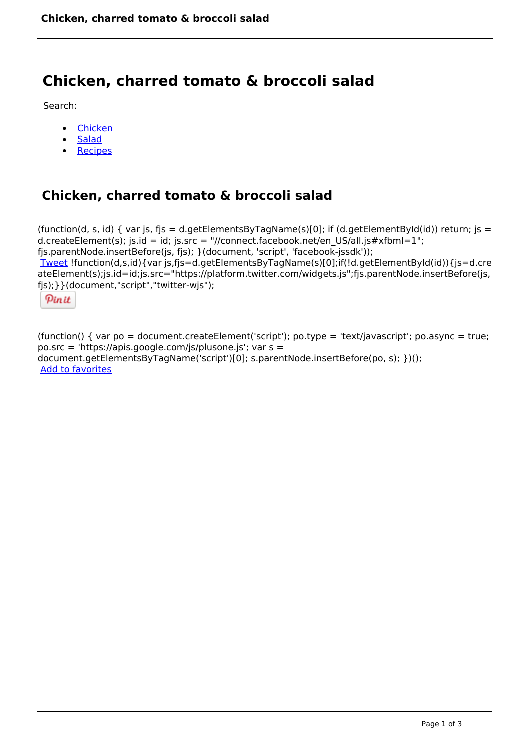# **Chicken, charred tomato & broccoli salad**

Search:

- [Chicken](https://www.naturalhealthmag.com.au/nourish/chicken)  $\bullet$
- **[Salad](https://www.naturalhealthmag.com.au/nourish/salads)**  $\bullet$
- [Recipes](https://www.naturalhealthmag.com.au/nourish/recipes)

## **Chicken, charred tomato & broccoli salad**

```
(function(d, s, id) { var js, fjs = d.getElementsByTagName(s)[0]; if (d.getElementById(id)) return; is =
d.createElement(s); js.id = id; js.src = "//connect.facebook.net/en_US/all.js#xfbml=1";
fjs.parentNode.insertBefore(js, fjs); }(document, 'script', 'facebook-jssdk')); 
Tweet !function(d,s,id){var js,fjs=d.getElementsByTagName(s)[0];if(!d.getElementById(id)){js=d.cre
ateElement(s);js.id=id;js.src="https://platform.twitter.com/widgets.js";fjs.parentNode.insertBefore(js,
fjs);}}(document,"script","twitter-wjs"); 
  Pin it
```
(function() { var po = document.createElement('script'); po.type = 'text/javascript'; po.async = true; po.src = 'https://apis.google.com/js/plusone.js'; var s = document.getElementsByTagName('script')[0]; s.parentNode.insertBefore(po, s); })(); Add to favorites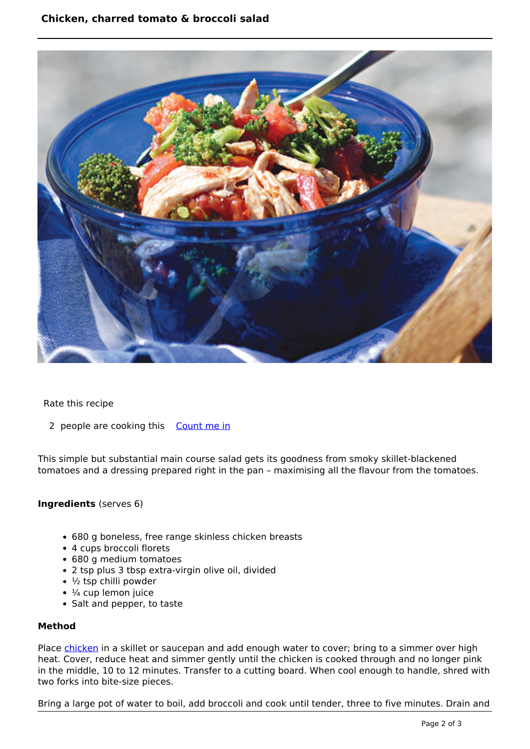### **Chicken, charred tomato & broccoli salad**



Rate this recipe

2 people are cooking this [Count me in](https://www.naturalhealthmag.com.au/flag/flag/favorites/670?destination=printpdf%2F670&token=11769e3f24266af6c1ccf6caa5225c61)

This simple but substantial main course salad gets its goodness from smoky skillet-blackened tomatoes and a dressing prepared right in the pan – maximising all the flavour from the tomatoes.

#### **Ingredients** (serves 6)

- 680 g boneless, free range skinless chicken breasts
- 4 cups broccoli florets
- 680 g medium tomatoes
- 2 tsp plus 3 tbsp extra-virgin olive oil, divided
- $\cdot$   $\frac{1}{2}$  tsp chilli powder
- $\cdot$   $\frac{1}{4}$  cup lemon juice
- Salt and pepper, to taste

#### **Method**

Place [chicken](http://www.naturalhealthmag.com.au/nourish/chicken) in a skillet or saucepan and add enough water to cover; bring to a simmer over high heat. Cover, reduce heat and simmer gently until the chicken is cooked through and no longer pink in the middle, 10 to 12 minutes. Transfer to a cutting board. When cool enough to handle, shred with two forks into bite-size pieces.

Bring a large pot of water to boil, add broccoli and cook until tender, three to five minutes. Drain and